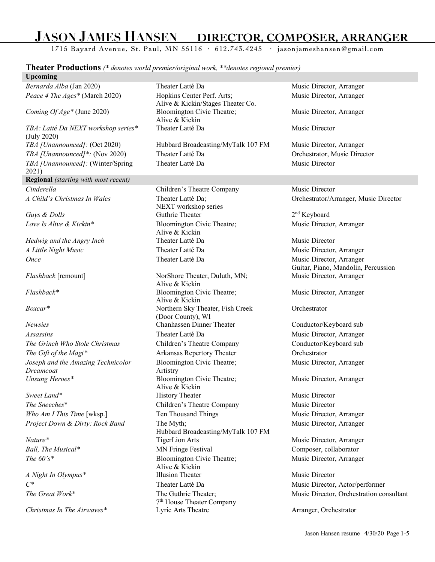# **JASON JAMES HANSEN DIRECTOR, COMPOSER, ARRANGER**

1715 Bayard Avenue, St. Paul, MN 55116 · 612.743.4245 · jasonjameshansen@gmail.com

**Theater Productions** *(\* denotes world premier/original work, \*\*denotes regional premier)*

#### **Upcoming**

*Bernarda Alba* (Jan 2020) Theater Latté Da Music Director, Arranger *Peace 4 The Ages\** (March 2020) Hopkins Center Perf. Arts;

*Coming Of Age\** (June 2020) Bloomington Civic Theatre;

*TBA: Latté Da NEXT workshop series\** (July 2020) *TBA [Unannounced]:* (Oct 2020) Hubbard Broadcasting/MyTalk 107 FM Music Director, Arranger *TBA [Unannounced]\*:* (Nov 2020) Theater Latté Da Orchestrator, Music Director *TBA [Unannounced]:* (Winter/Spring 2021) **Regional** *(starting with most recent) Cinderella* **Children's Theatre Company** Music Director *A Child's Christmas In Wales* Theater Latté Da;

**Once** Theater Latté Da Music Director, Arranger

*Joseph and the Amazing Technicolor Dreamcoat Unsung Heroes\** Bloomington Civic Theatre;

*Project Down & Dirty: Rock Band* The Myth;

Alive & Kickin/Stages Theater Co. Alive & Kickin Theater Latté Da Music Director

Theater Latté Da Music Director

NEXT workshop series *Guys & Dolls* **Guthrie Theater** 2<sup>nd</sup> Keyboard *Love Is Alive & Kickin\** Bloomington Civic Theatre; Alive & Kickin *Hedwig and the Angry Inch* Theater Latté Da Music Director *A Little Night Music* Theater Latté Da Music Director, Arranger

*Flashback* [remount] NorShore Theater, Duluth, MN; Alive & Kickin *Flashback\** Bloomington Civic Theatre; Alive & Kickin *Boxcar\** Northern Sky Theater, Fish Creek (Door County), WI *Newsies* Chanhassen Dinner Theater Conductor/Keyboard sub *Assassins* Theater Latté Da Music Director, Arranger *The Grinch Who Stole Christmas* Children's Theatre Company Conductor/Keyboard sub *The Gift of the Magi\** Arkansas Repertory Theater Orchestrator Bloomington Civic Theatre; Artistry Alive & Kickin *Sweet Land*\* **History Theater History Theater Music Director** *The Sneeches*\* Children's Theatre Company Music Director *Who Am I This Time* [wksp.] Ten Thousand Things Music Director, Arranger Hubbard Broadcasting/MyTalk 107 FM *Nature*\* TigerLion Arts Music Director, Arranger *Ball, The Musical\** MN Fringe Festival Composer, collaborator *The 60's\** Bloomington Civic Theatre; Alive & Kickin *A Night In Olympus*<sup>\*</sup> Illusion Theater Music Director *C\** Theater Latté Da Music Director, Actor/performer *The Great Work*<sup>\*</sup> The Guthrie Theater; 7th House Theater Company *Christmas In The Airwaves\** Lyric Arts Theatre Arranger, Orchestrator

Music Director, Arranger

Music Director, Arranger

Orchestrator/Arranger, Music Director

Music Director, Arranger

Guitar, Piano, Mandolin, Percussion Music Director, Arranger

Music Director, Arranger

**Orchestrator** 

Music Director, Arranger

Music Director, Arranger

Music Director, Arranger

Music Director, Arranger

Music Director, Orchestration consultant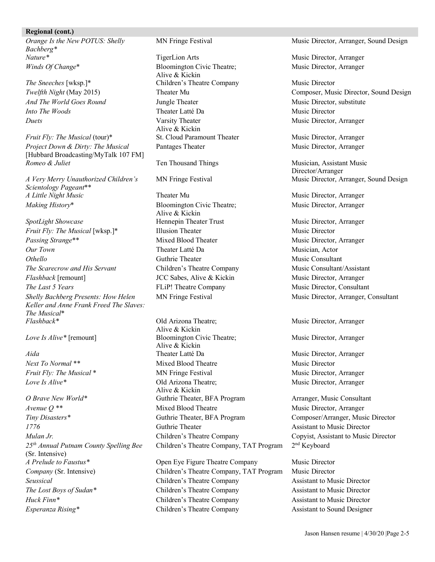#### **Regional (cont.)**

*Orange Is the New POTUS: Shelly Bachberg\* Nature*\* TigerLion Arts TigerLion Arts Music Director, Arranger *Winds Of Change*\* Bloomington Civic Theatre;

*Duets* Varsity Theater

*Fruit Fly: The Musical* (tour)\* St. Cloud Paramount Theater Music Director, Arranger *Project Down & Dirty: The Musical* [Hubbard Broadcasting/MyTalk 107 FM] *Romeo & Juliet* Ten Thousand Things Musician, Assistant Music

*A Very Merry Unauthorized Children's Scientology Pageant*\*\* *A Little Night Music* Theater Mu Theater Music Director, Arranger *Making History*\* Bloomington Civic Theatre;

*SpotLight Showcase* **Hennepin Theater Trust** Music Director, Arranger *Fruit Fly: The Musical* [wksp.]\* Illusion Theater Music Director *Passing Strange*\*\* The Mixed Blood Theater Music Director, Arranger *Our Town* Theater Latté Da Musician, Actor *Othello* Guthrie Theater **Guthrie Theater** Music Consultant *The Scarecrow and His Servant* Children's Theatre Company Music Consultant/Assistant *Flashback* [remount] **JCC** Sabes, Alive & Kickin Music Director, Arranger *The Last 5 Years* FLip! Theatre Company Music Director, Consultant *Shelly Bachberg Presents: How Helen Keller and Anne Frank Freed The Slaves: The Musical*\* *Flashback\** Old Arizona Theatre;

*Love Is Alive*\* Old Arizona Theatre;

*O Brave New World\** Guthrie Theater, BFA Program Arranger, Music Consultant *Avenue Q*<sup>\*\*</sup> Mixed Blood Theatre Music Director, Arranger *Tiny Disasters\** Guthrie Theater, BFA Program Composer/Arranger, Music Director *1776* Guthrie Theater **Guthrie Theater** Assistant to Music Director *Mulan Jr.* Children's Theatre Company Copyist, Assistant to Music Director *25th Annual Putnam County Spelling Bee* (Sr. Intensive)<br>A Prelude to Faustus\*

Alive & Kickin **The Sneeches [wksp.]\*** Children's Theatre Company Music Director *And The World Goes Round* **Jungle Theater** Music Director, substitute *Into The Woods* Theater Latté Da Music Director Alive & Kickin Pantages Theater Music Director, Arranger

Alive & Kickin

Alive & Kickin *Love Is Alive*\* [remount] Bloomington Civic Theatre; Alive & Kickin *Aida* Theater Latté Da **Theater Latté Da** Music Director, Arranger *Next To Normal* \*\* Mixed Blood Theatre Music Director *Fruit Fly: The Musical* \* The Musical \* MN Fringe Festival Music Director, Arranger Alive & Kickin Children's Theatre Company, TAT Program 2nd Keyboard

*A Preligion Eye Figure Theatre Company Music Director Company* (Sr. Intensive) Children's Theatre Company, TAT Program Music Director *Seussical* Children's Theatre Company Assistant to Music Director *The Lost Boys of Sudan\** Children's Theatre Company **Assistant to Music Director** *Huck Finn*<sup>\*</sup> Children's Theatre Company **Assistant to Music Director** *Esperanza Rising*\* Theatre Company **Assistant to Sound Designer** Children's Theatre Company **Assistant** to Sound Designer

MN Fringe Festival Music Director, Arranger, Sound Design

Music Director, Arranger

*Twelfth Night* (May 2015) Theater Mu **Theater Mu Composer, Music Director, Sound Design** Music Director, Arranger

Director/Arranger MN Fringe Festival Music Director, Arranger, Sound Design

Music Director, Arranger

MN Fringe Festival Music Director, Arranger, Consultant

Music Director, Arranger

Music Director, Arranger

Music Director, Arranger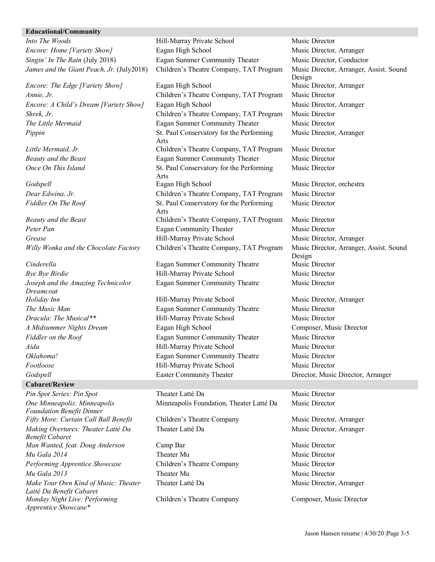#### **Educational/Community**

*Shrek, Jr.* Children's Theatre Company, TAT Program Music Director *Pippin* St. Paul Conservatory for the Performing

*Joseph and the Amazing Technicolor Dreamcoat*

#### **Cabaret/Review**

*One Minneapolis: Minneapolis Foundation Benefit Dinner Fifty More: Curtain Call Ball Benefit* Children's Theatre Company Music Director, Arranger *Making Overtures: Theater Latté Da Benefit Cabaret Man Wanted, feat. Doug Anderson* Camp Bar **Music Director** Music Director *Mu Gala 2014* Theater Mu Theater Mu Music Director *Performing Apprentice Showcase* Children's Theatre Company Music Director *Mu Gala 2013* Theater Mu Theater Mu Music Director *Make Your Own Kind of Music: Theater Latté Da Benefit Cabaret Monday Night Live: Performing Apprentice Showcase\**

*Into The Woods* **Hill-Murray Private School** Music Director *Encore: Home [Variety Show]* Eagan High School Music Director, Arranger *Singin' In The Rain* (July 2018) Eagan Summer Community Theater Music Director, Conductor *James and the Giant Peach, Jr.* (July2018) Children's Theatre Company, TAT Program Music Director, Arranger, Assist. Sound *Encore: The Edge [Variety Show]* Eagan High School Music Director, Arranger *Annie, Jr.* Children's Theatre Company, TAT Program Music Director *Encore: A Child's Dream [Variety Show]* Eagan High School Music Director, Arranger

**The Little Mermaid Eagan Summer Community Theater** Music Director Arts *Little Mermaid, Jr.* Children's Theatre Company, TAT Program Music Director *Beauty and the Beast* Eagan Summer Community Theater Music Director *Once On This Island* St. Paul Conservatory for the Performing Arts *Godspell* Eagan High School Music Director, orchestra and Eagan High School *Dear Edwina, Jr.* Children's Theatre Company, TAT Program Music Director *Fiddler On The Roof* St. Paul Conservatory for the Performing Arts *Beauty and the Beast* Children's Theatre Company, TAT Program Music Director *Peter Pan* Eagan Community Theater Music Director *Grease* Hill-Murray Private School Music Director, Arranger *Willy Wonka and the Chocolate Factory* Children's Theatre Company, TAT Program Music Director, Arranger, Assist. Sound

*Cinderella* Eagan Summer Community Theatre Music Director *Bye Bye Birdie* **Hill-Murray Private School** Music Director Eagan Summer Community Theatre Music Director

*Holiday Inn* **Hill-Murray Private School** Music Director, Arranger *The Music Man* **Eagan Summer Community Theatre** Music Director *Dracula: The Musical\*\** Thill-Murray Private School Music Director *A Midsummer Nights Dream* Eagan High School Composer, Music Director *Fiddler on the Roof* Eagan Summer Community Theater Music Director *Aida* **Hill-Murray Private School** Music Director *Oklahoma!* Eagan Summer Community Theatre Music Director *Footloose* Hill-Murray Private School Music Director *Godspell* Easter Community Theater Director, Music Director, Arranger

*Pin Spot Series: Pin Spot* Theater Latté Da Music Director Minneapolis Foundation, Theater Latté Da Music Director

Theater Latté Da Music Director, Arranger

Theater Latté Da Music Director, Arranger

Children's Theatre Company Composer, Music Director

Design Music Director, Arranger

Music Director

Music Director

Design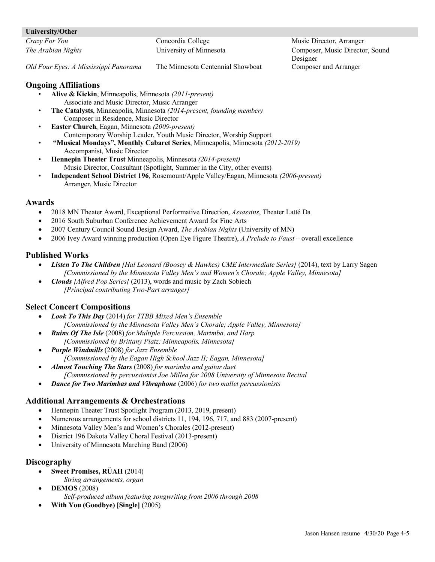#### **University/Other**

*Crazy For You* Concordia College Music Director, Arranger *The Arabian Nights* University of Minnesota Composer, Music Director, Sound Designer

*Old Four Eyes: A Mississippi Panorama* The Minnesota Centennial Showboat Composer and Arranger

## **Ongoing Affiliations**

- **Alive & Kickin**, Minneapolis, Minnesota *(2011-present)* Associate and Music Director, Music Arranger
- **The Catalysts**, Minneapolis, Minnesota *(2014-present, founding member)* Composer in Residence, Music Director
- **Easter Church**, Eagan, Minnesota *(2009-present)* Contemporary Worship Leader, Youth Music Director, Worship Support
- **"Musical Mondays", Monthly Cabaret Series**, Minneapolis, Minnesota *(2012-2019)* Accompanist, Music Director
- **Hennepin Theater Trust** Minneapolis, Minnesota *(2014-present)* Music Director, Consultant (Spotlight, Summer in the City, other events)
- **Independent School District 196**, Rosemount/Apple Valley/Eagan, Minnesota *(2006-present)* Arranger, Music Director

### **Awards**

- 2018 MN Theater Award, Exceptional Performative Direction, *Assassins*, Theater Latté Da
- 2016 South Suburban Conference Achievement Award for Fine Arts
- 2007 Century Council Sound Design Award, *The Arabian Nights* (University of MN)
- 2006 Ivey Award winning production (Open Eye Figure Theatre), *A Prelude to Faust*  overall excellence

## **Published Works**

- *Listen To The Children [Hal Leonard (Boosey & Hawkes) CME Intermediate Series]* (2014), text by Larry Sagen *[Commissioned by the Minnesota Valley Men's and Women's Chorale; Apple Valley, Minnesota]*
- *Clouds [Alfred Pop Series]* (2013), words and music by Zach Sobiech *[Principal contributing Two-Part arranger]*

## **Select Concert Compositions**

- *Look To This Day* (2014) *for TTBB Mixed Men's Ensemble [Commissioned by the Minnesota Valley Men's Chorale; Apple Valley, Minnesota]*
- *Ruins Of The Isle* (2008) *for Multiple Percussion, Marimba, and Harp [Commissioned by Brittany Piatz; Minneapolis, Minnesota]*
- *Purple Windmills* (2008) *for Jazz Ensemble [Commissioned by the Eagan High School Jazz II; Eagan, Minnesota]*
- *Almost Touching The Stars* (2008) *for marimba and guitar duet [Commissioned by percussionist Joe Millea for 2008 University of Minnesota Recital*
- *Dance for Two Marimbas and Vibraphone* (2006) *for two mallet percussionists*

## **Additional Arrangements & Orchestrations**

- Hennepin Theater Trust Spotlight Program (2013, 2019, present)
- Numerous arrangements for school districts 11, 194, 196, 717, and 883 (2007-present)
- Minnesota Valley Men's and Women's Chorales (2012-present)
- District 196 Dakota Valley Choral Festival (2013-present)
- University of Minnesota Marching Band (2006)

## **Discography**

- **Sweet Promises, RÜAH** (2014)
- *String arrangements, organ*
- **DEMOS** (2008)

*Self-produced album featuring songwriting from 2006 through 2008*

• **With You (Goodbye) [Single]** (2005)